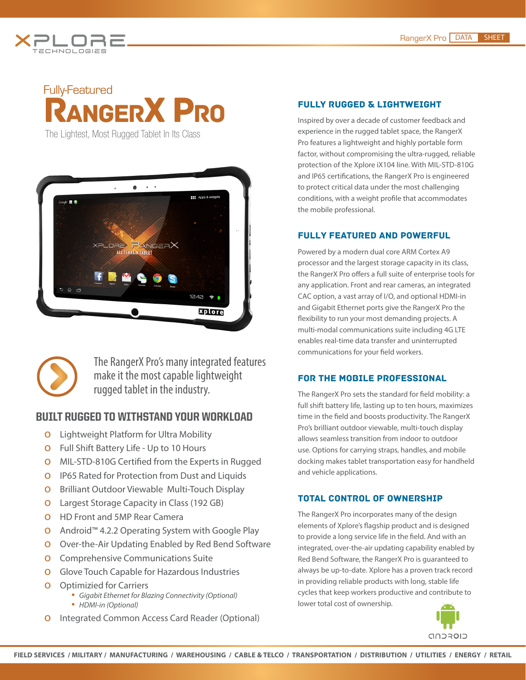

## Fully-Featured RANGERX PRO

 **TECHNOLOGIE [PLORE](http://www.xploretech.com) S**

**X**

The Lightest, Most Rugged Tablet In Its Class



The RangerX Pro's many integrated features make it the most capable lightweight rugged tablet in the industry.

### BUILT RUGGED TO WITHSTAND YOUR WORKLOAD

- **O** Lightweight Platform for Ultra Mobility
- о Full Shift Battery Life Up to 10 Hours
- о MIL-STD-810G Certified from the Experts in Rugged
- **O** IP65 Rated for Protection from Dust and Liquids
- о Brilliant Outdoor Viewable Multi-Touch Display
- о Largest Storage Capacity in Class (192 GB)
- о HD Front and 5MP Rear Camera
- о Android™ 4.2.2 Operating System with Google Play
- о Over-the-Air Updating Enabled by Red Bend Software
- **O** Comprehensive Communications Suite
- о Glove Touch Capable for Hazardous Industries
- 
- <sup>о</sup> Optimizied for Carriers *• Gigabit Ethernet for Blazing Connectivity (Optional) • HDMI-in (Optional)*
- о Integrated Common Access Card Reader (Optional)

#### fully rugged & lightweight

Inspired by over a decade of customer feedback and experience in the rugged tablet space, the RangerX Pro features a lightweight and highly portable form factor, without compromising the ultra-rugged, reliable protection of the Xplore iX104 line. With MIL-STD-810G and IP65 certifications, the RangerX Pro is engineered to protect critical data under the most challenging conditions, with a weight profile that accommodates the mobile professional.

#### fullY featured and powerful

Powered by a modern dual core ARM Cortex A9 processor and the largest storage capacity in its class, the RangerX Pro offers a full suite of enterprise tools for any application. Front and rear cameras, an integrated CAC option, a vast array of I/O, and optional HDMI-in and Gigabit Ethernet ports give the RangerX Pro the flexibility to run your most demanding projects. A multi-modal communications suite including 4G LTE enables real-time data transfer and uninterrupted communications for your field workers.

#### For the mobile professional

The RangerX Pro sets the standard for field mobility: a full shift battery life, lasting up to ten hours, maximizes time in the field and boosts productivity. The RangerX Pro's brilliant outdoor viewable, multi-touch display allows seamless transition from indoor to outdoor use. Options for carrying straps, handles, and mobile docking makes tablet transportation easy for handheld and vehicle applications.

#### Total Control of Ownership

The RangerX Pro incorporates many of the design elements of Xplore's flagship product and is designed to provide a long service life in the field. And with an integrated, over-the-air updating capability enabled by Red Bend Software, the RangerX Pro is guaranteed to always be up-to-date. Xplore has a proven track record in providing reliable products with long, stable life cycles that keep workers productive and contribute to lower total cost of ownership.